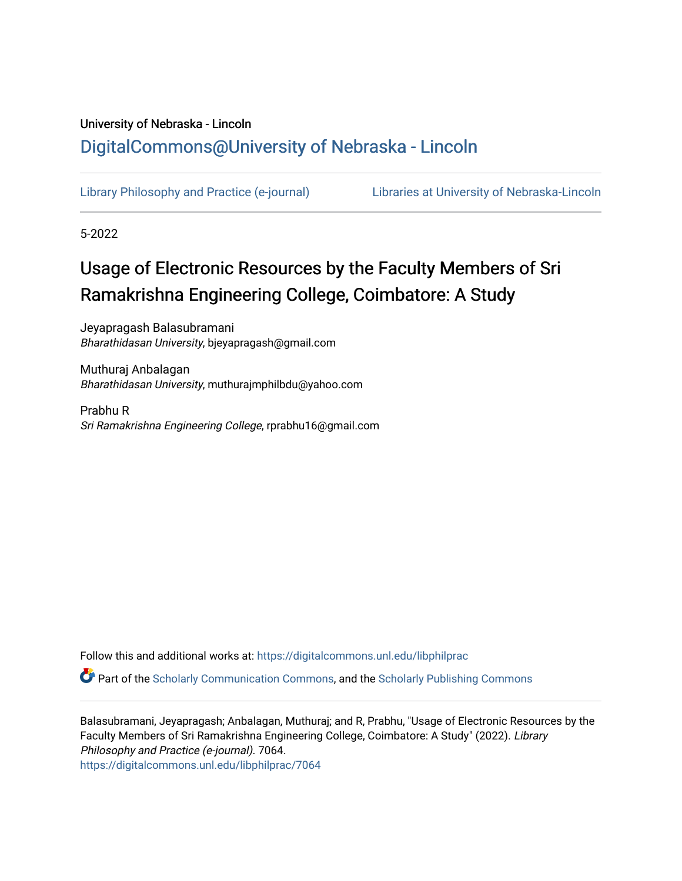## University of Nebraska - Lincoln [DigitalCommons@University of Nebraska - Lincoln](https://digitalcommons.unl.edu/)

[Library Philosophy and Practice \(e-journal\)](https://digitalcommons.unl.edu/libphilprac) [Libraries at University of Nebraska-Lincoln](https://digitalcommons.unl.edu/libraries) 

5-2022

# Usage of Electronic Resources by the Faculty Members of Sri Ramakrishna Engineering College, Coimbatore: A Study

Jeyapragash Balasubramani Bharathidasan University, bjeyapragash@gmail.com

Muthuraj Anbalagan Bharathidasan University, muthurajmphilbdu@yahoo.com

Prabhu R Sri Ramakrishna Engineering College, rprabhu16@gmail.com

Follow this and additional works at: [https://digitalcommons.unl.edu/libphilprac](https://digitalcommons.unl.edu/libphilprac?utm_source=digitalcommons.unl.edu%2Flibphilprac%2F7064&utm_medium=PDF&utm_campaign=PDFCoverPages) 

Part of the [Scholarly Communication Commons,](http://network.bepress.com/hgg/discipline/1272?utm_source=digitalcommons.unl.edu%2Flibphilprac%2F7064&utm_medium=PDF&utm_campaign=PDFCoverPages) and the [Scholarly Publishing Commons](http://network.bepress.com/hgg/discipline/1273?utm_source=digitalcommons.unl.edu%2Flibphilprac%2F7064&utm_medium=PDF&utm_campaign=PDFCoverPages)

Balasubramani, Jeyapragash; Anbalagan, Muthuraj; and R, Prabhu, "Usage of Electronic Resources by the Faculty Members of Sri Ramakrishna Engineering College, Coimbatore: A Study" (2022). Library Philosophy and Practice (e-journal). 7064. [https://digitalcommons.unl.edu/libphilprac/7064](https://digitalcommons.unl.edu/libphilprac/7064?utm_source=digitalcommons.unl.edu%2Flibphilprac%2F7064&utm_medium=PDF&utm_campaign=PDFCoverPages)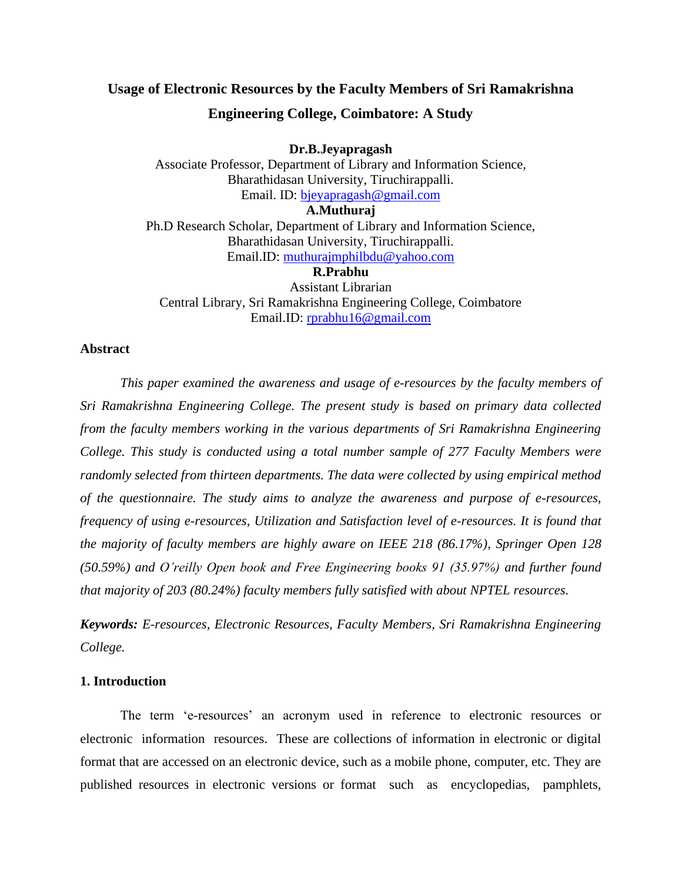### **Usage of Electronic Resources by the Faculty Members of Sri Ramakrishna Engineering College, Coimbatore: A Study**

**Dr.B.Jeyapragash** Associate Professor, Department of Library and Information Science, Bharathidasan University, Tiruchirappalli. Email. ID: [bjeyapragash@gmail.com](mailto:bjeyapragash@gmail.com) **A.Muthuraj**  Ph.D Research Scholar, Department of Library and Information Science, Bharathidasan University, Tiruchirappalli. Email.ID: [muthurajmphilbdu@yahoo.com](mailto:muthurajmphilbdu@yahoo.com) **R.Prabhu** Assistant Librarian

Central Library, Sri Ramakrishna Engineering College, Coimbatore Email.ID: [rprabhu16@gmail.com](mailto:rprabhu16@gmail.com)

#### **Abstract**

*This paper examined the awareness and usage of e-resources by the faculty members of Sri Ramakrishna Engineering College. The present study is based on primary data collected from the faculty members working in the various departments of Sri Ramakrishna Engineering College. This study is conducted using a total number sample of 277 Faculty Members were randomly selected from thirteen departments. The data were collected by using empirical method of the questionnaire. The study aims to analyze the awareness and purpose of e-resources, frequency of using e-resources, Utilization and Satisfaction level of e-resources. It is found that the majority of faculty members are highly aware on IEEE 218 (86.17%), Springer Open 128 (50.59%) and O'reilly Open book and Free Engineering books 91 (35.97%) and further found that majority of 203 (80.24%) faculty members fully satisfied with about NPTEL resources.*

*Keywords: E-resources, Electronic Resources, Faculty Members, Sri Ramakrishna Engineering College.*

#### **1. Introduction**

The term 'e-resources' an acronym used in reference to electronic resources or electronic information resources. These are collections of information in electronic or digital format that are accessed on an electronic device, such as a mobile phone, computer, etc. They are published resources in electronic versions or format such as encyclopedias, pamphlets,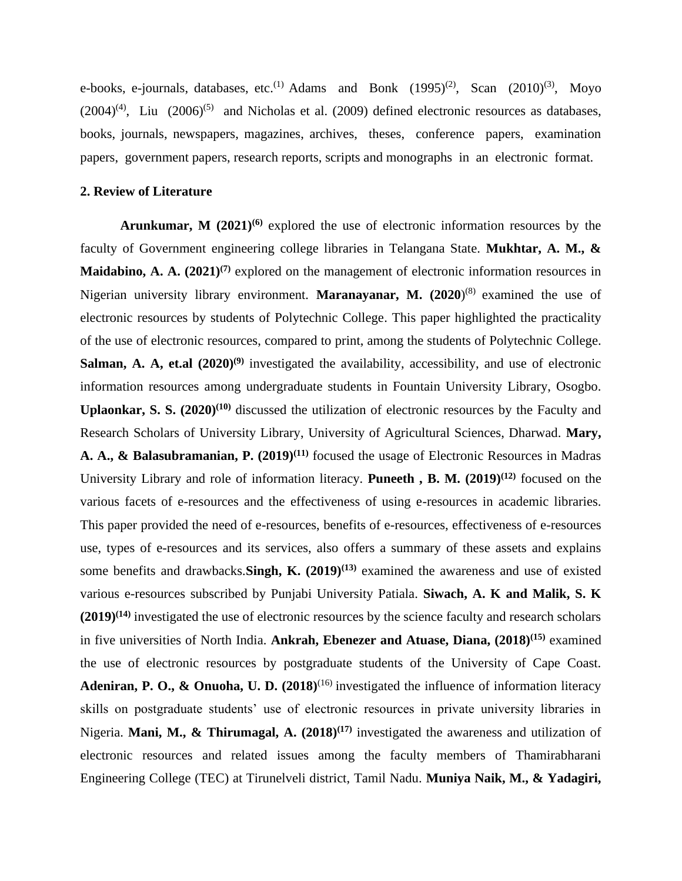e-books, e-journals, databases, etc.<sup>(1)</sup> Adams and Bonk  $(1995)^{(2)}$ , Scan  $(2010)^{(3)}$ , Moyo  $(2004)^{(4)}$ , Liu  $(2006)^{(5)}$  and Nicholas et al. (2009) defined electronic resources as databases, books, journals, newspapers, magazines, archives, theses, conference papers, examination papers, government papers, research reports, scripts and monographs in an electronic format.

#### **2. Review of Literature**

**Arunkumar, M (2021)(6)** explored the use of electronic information resources by the faculty of Government engineering college libraries in Telangana State. **Mukhtar, A. M., & Maidabino, A. A. (2021)(7)** explored on the management of electronic information resources in Nigerian university library environment. **Maranayanar, M. (2020**) (8) examined the use of electronic resources by students of Polytechnic College. This paper highlighted the practicality of the use of electronic resources, compared to print, among the students of Polytechnic College. **Salman, A. A, et.al (2020)(9)** investigated the availability, accessibility, and use of electronic information resources among undergraduate students in Fountain University Library, Osogbo. **Uplaonkar, S. S. (2020)(10)** discussed the utilization of electronic resources by the Faculty and Research Scholars of University Library, University of Agricultural Sciences, Dharwad. **Mary, A. A., & Balasubramanian, P. (2019)(11)** focused the usage of Electronic Resources in Madras University Library and role of information literacy. **Puneeth , B. M. (2019)(12)** focused on the various facets of e-resources and the effectiveness of using e-resources in academic libraries. This paper provided the need of e-resources, benefits of e-resources, effectiveness of e-resources use, types of e-resources and its services, also offers a summary of these assets and explains some benefits and drawbacks.**Singh, K. (2019)(13)** examined the awareness and use of existed various e-resources subscribed by Punjabi University Patiala. **Siwach, A. K and Malik, S. K (2019)(14)** investigated the use of electronic resources by the science faculty and research scholars in five universities of North India. **Ankrah, Ebenezer and Atuase, Diana, (2018)(15)** examined the use of electronic resources by postgraduate students of the University of Cape Coast. Adeniran, P. O., & Onuoha, U. D. (2018)<sup>(16)</sup> investigated the influence of information literacy skills on postgraduate students' use of electronic resources in private university libraries in Nigeria. **Mani, M., & Thirumagal, A. (2018)(17)** investigated the awareness and utilization of electronic resources and related issues among the faculty members of Thamirabharani Engineering College (TEC) at Tirunelveli district, Tamil Nadu. **Muniya Naik, M., & Yadagiri,**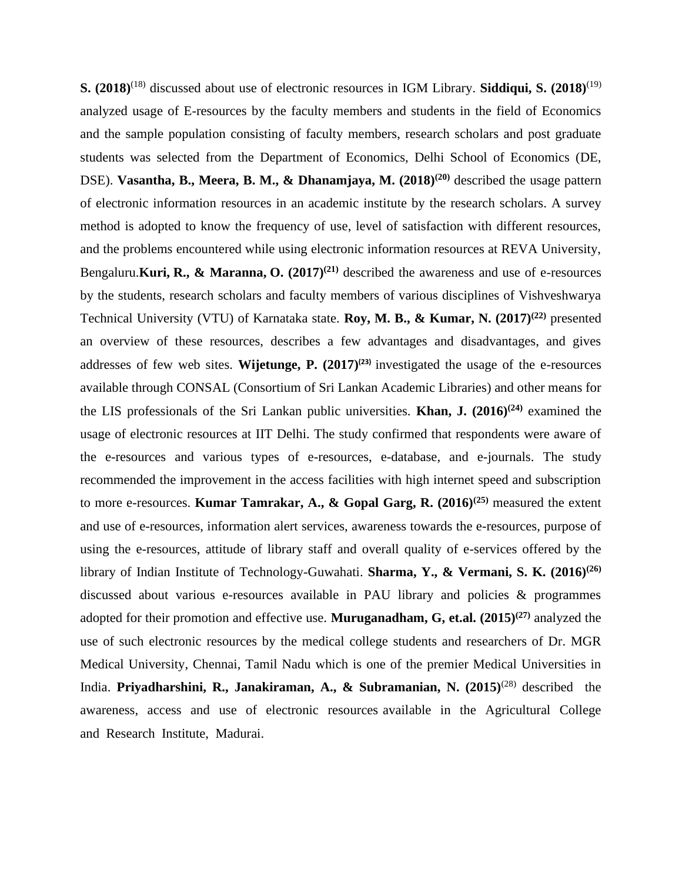**S. (2018)**(18) discussed about use of electronic resources in IGM Library. **Siddiqui, S. (2018)**(19) analyzed usage of E-resources by the faculty members and students in the field of Economics and the sample population consisting of faculty members, research scholars and post graduate students was selected from the Department of Economics, Delhi School of Economics (DE, DSE). **Vasantha, B., Meera, B. M., & Dhanamjaya, M.** (2018)<sup>(20)</sup> described the usage pattern of electronic information resources in an academic institute by the research scholars. A survey method is adopted to know the frequency of use, level of satisfaction with different resources, and the problems encountered while using electronic information resources at REVA University, Bengaluru.**Kuri, R., & Maranna, O. (2017)(21)** described the awareness and use of e-resources by the students, research scholars and faculty members of various disciplines of Vishveshwarya Technical University (VTU) of Karnataka state. **Roy, M. B., & Kumar, N. (2017)(22)** presented an overview of these resources, describes a few advantages and disadvantages, and gives addresses of few web sites. **Wijetunge, P. (2017)(23)** investigated the usage of the e-resources available through CONSAL (Consortium of Sri Lankan Academic Libraries) and other means for the LIS professionals of the Sri Lankan public universities. **Khan, J. (2016)(24)** examined the usage of electronic resources at IIT Delhi. The study confirmed that respondents were aware of the e-resources and various types of e-resources, e-database, and e-journals. The study recommended the improvement in the access facilities with high internet speed and subscription to more e-resources. **Kumar Tamrakar, A., & Gopal Garg, R. (2016)(25)** measured the extent and use of e-resources, information alert services, awareness towards the e-resources, purpose of using the e-resources, attitude of library staff and overall quality of e-services offered by the library of Indian Institute of Technology-Guwahati. **Sharma, Y., & Vermani, S. K. (2016)(26)** discussed about various e-resources available in PAU library and policies & programmes adopted for their promotion and effective use. **Muruganadham, G, et.al. (2015)(27)** analyzed the use of such electronic resources by the medical college students and researchers of Dr. MGR Medical University, Chennai, Tamil Nadu which is one of the premier Medical Universities in India. **Priyadharshini, R., Janakiraman, A., & Subramanian, N. (2015)**(28) described the awareness, access and use of electronic resources available in the Agricultural College and Research Institute, Madurai.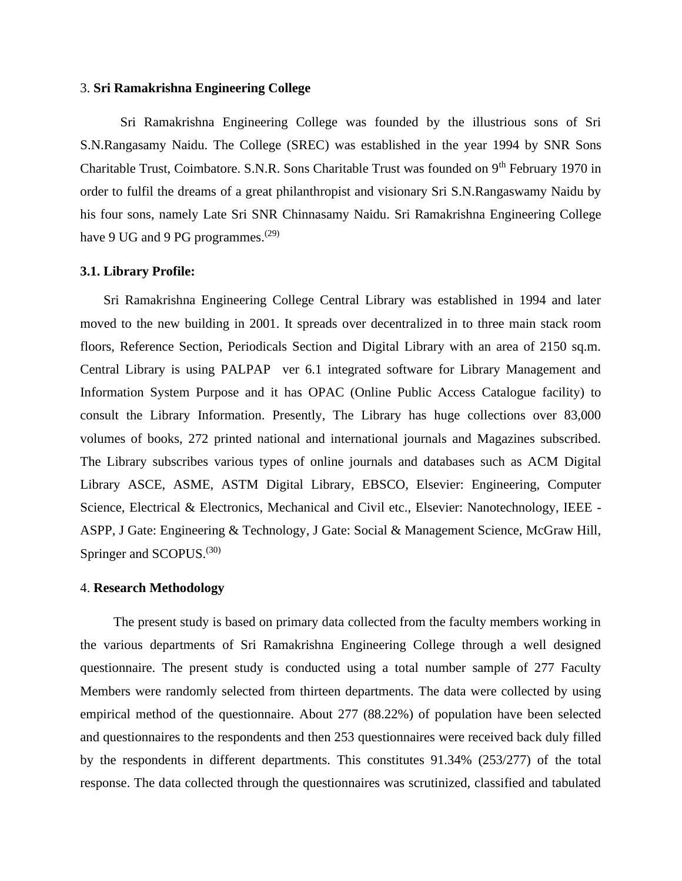#### 3. **Sri Ramakrishna Engineering College**

Sri Ramakrishna Engineering College was founded by the illustrious sons of Sri S.N.Rangasamy Naidu. The College (SREC) was established in the year 1994 by SNR Sons Charitable Trust, Coimbatore. S.N.R. Sons Charitable Trust was founded on 9<sup>th</sup> February 1970 in order to fulfil the dreams of a great philanthropist and visionary Sri S.N.Rangaswamy Naidu by his four sons, namely Late Sri SNR Chinnasamy Naidu. Sri Ramakrishna Engineering College have 9 UG and 9 PG programmes. $(29)$ 

#### **3.1. Library Profile:**

 Sri Ramakrishna Engineering College Central Library was established in 1994 and later moved to the new building in 2001. It spreads over decentralized in to three main stack room floors, Reference Section, Periodicals Section and Digital Library with an area of 2150 sq.m. Central Library is using PALPAP ver 6.1 integrated software for Library Management and Information System Purpose and it has OPAC (Online Public Access Catalogue facility) to consult the Library Information. Presently, The Library has huge collections over 83,000 volumes of books, 272 printed national and international journals and Magazines subscribed. The Library subscribes various types of online journals and databases such as ACM Digital Library ASCE, ASME, ASTM Digital Library, EBSCO, Elsevier: Engineering, Computer Science, Electrical & Electronics, Mechanical and Civil etc., Elsevier: Nanotechnology, IEEE -ASPP, J Gate: Engineering & Technology, J Gate: Social & Management Science, McGraw Hill, Springer and SCOPUS.<sup>(30)</sup>

#### 4. **Research Methodology**

 The present study is based on primary data collected from the faculty members working in the various departments of Sri Ramakrishna Engineering College through a well designed questionnaire. The present study is conducted using a total number sample of 277 Faculty Members were randomly selected from thirteen departments. The data were collected by using empirical method of the questionnaire. About 277 (88.22%) of population have been selected and questionnaires to the respondents and then 253 questionnaires were received back duly filled by the respondents in different departments. This constitutes 91.34% (253/277) of the total response. The data collected through the questionnaires was scrutinized, classified and tabulated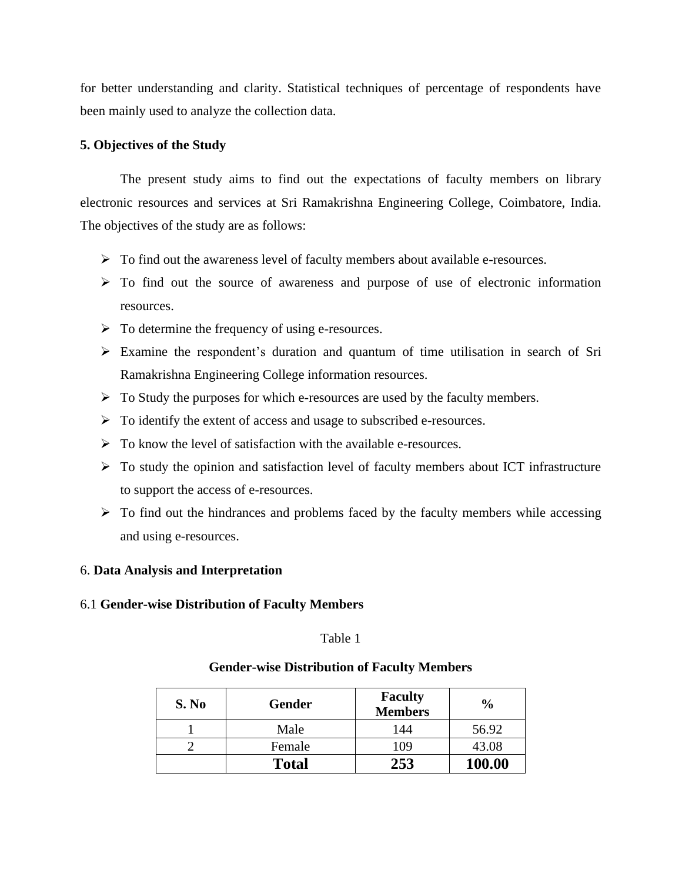for better understanding and clarity. Statistical techniques of percentage of respondents have been mainly used to analyze the collection data.

#### **5. Objectives of the Study**

 The present study aims to find out the expectations of faculty members on library electronic resources and services at Sri Ramakrishna Engineering College, Coimbatore, India. The objectives of the study are as follows:

- ➢ To find out the awareness level of faculty members about available e-resources.
- ➢ To find out the source of awareness and purpose of use of electronic information resources.
- $\triangleright$  To determine the frequency of using e-resources.
- ➢ Examine the respondent's duration and quantum of time utilisation in search of Sri Ramakrishna Engineering College information resources.
- ➢ To Study the purposes for which e-resources are used by the faculty members.
- ➢ To identify the extent of access and usage to subscribed e-resources.
- $\triangleright$  To know the level of satisfaction with the available e-resources.
- ➢ To study the opinion and satisfaction level of faculty members about ICT infrastructure to support the access of e-resources.
- $\triangleright$  To find out the hindrances and problems faced by the faculty members while accessing and using e-resources.

#### 6. **Data Analysis and Interpretation**

#### 6.1 **Gender-wise Distribution of Faculty Members**

Table 1

#### **Gender-wise Distribution of Faculty Members**

| S. No | <b>Gender</b> | <b>Faculty</b><br><b>Members</b> | $\frac{6}{9}$ |
|-------|---------------|----------------------------------|---------------|
|       | Male          | 144                              | 56.92         |
|       | Female        | 109                              | 43.08         |
|       | <b>Total</b>  | 253                              | 100.00        |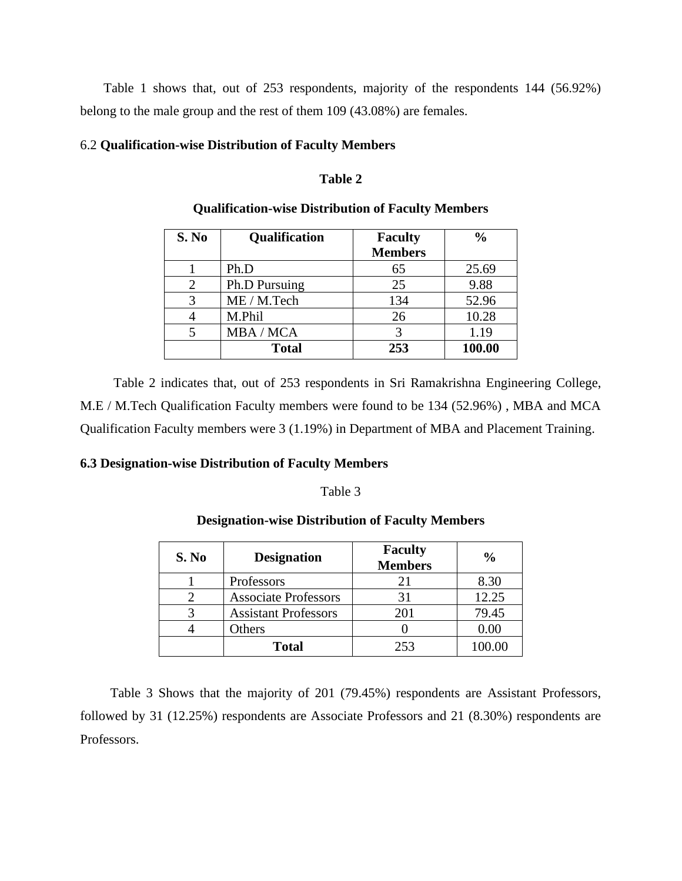Table 1 shows that, out of 253 respondents, majority of the respondents 144 (56.92%) belong to the male group and the rest of them 109 (43.08%) are females.

#### 6.2 **Qualification-wise Distribution of Faculty Members**

#### **Table 2**

| S. No | Qualification | <b>Faculty</b> | $\frac{0}{0}$ |
|-------|---------------|----------------|---------------|
|       |               | <b>Members</b> |               |
|       | Ph.D          | 65             | 25.69         |
| 2     | Ph.D Pursuing | 25             | 9.88          |
| 3     | ME / M.Tech   | 134            | 52.96         |
|       | M.Phil        | 26             | 10.28         |
|       | MBA / MCA     | 3              | 1.19          |
|       | <b>Total</b>  | 253            | 100.00        |

#### **Qualification-wise Distribution of Faculty Members**

 Table 2 indicates that, out of 253 respondents in Sri Ramakrishna Engineering College, M.E / M.Tech Qualification Faculty members were found to be 134 (52.96%) , MBA and MCA Qualification Faculty members were 3 (1.19%) in Department of MBA and Placement Training.

#### **6.3 Designation-wise Distribution of Faculty Members**

#### Table 3

#### **Designation-wise Distribution of Faculty Members**

| S. No | <b>Designation</b>          | <b>Faculty</b><br><b>Members</b> | $\frac{6}{9}$ |
|-------|-----------------------------|----------------------------------|---------------|
|       | Professors                  | 21                               | 8.30          |
|       | <b>Associate Professors</b> | 31                               | 12.25         |
|       | <b>Assistant Professors</b> | 201                              | 79.45         |
|       | Others                      |                                  | 0.00          |
|       | <b>Total</b>                | 253                              | 100.00        |

 Table 3 Shows that the majority of 201 (79.45%) respondents are Assistant Professors, followed by 31 (12.25%) respondents are Associate Professors and 21 (8.30%) respondents are Professors.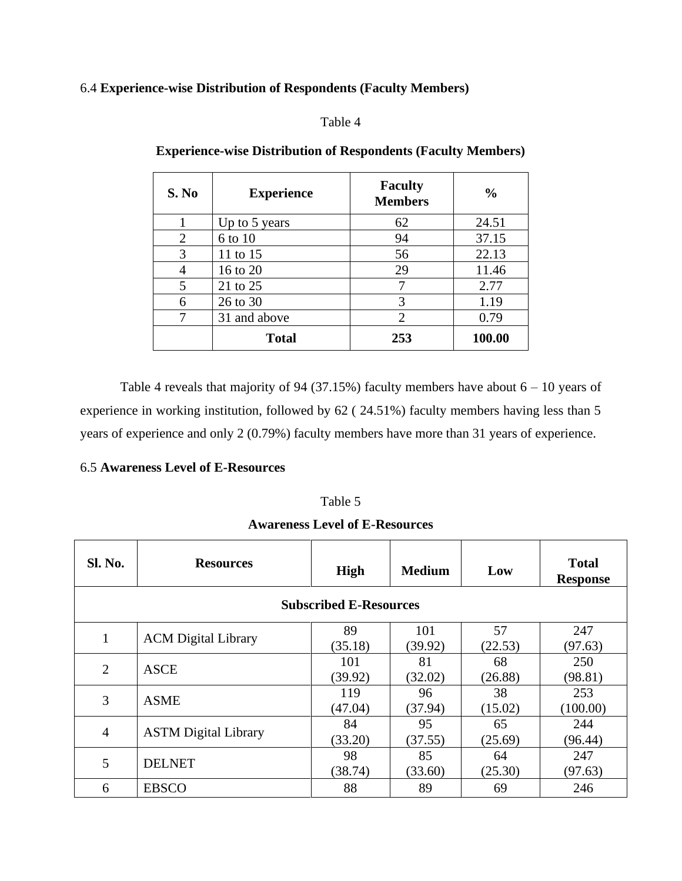#### 6.4 **Experience-wise Distribution of Respondents (Faculty Members)**

#### Table 4

| S. No | <b>Experience</b> | <b>Faculty</b><br><b>Members</b> | $\frac{0}{0}$ |
|-------|-------------------|----------------------------------|---------------|
|       | Up to 5 years     | 62                               | 24.51         |
| 2     | 6 to 10           | 94                               | 37.15         |
| 3     | 11 to 15          | 56                               | 22.13         |
|       | 16 to 20          | 29                               | 11.46         |
| 5     | 21 to 25          |                                  | 2.77          |
| 6     | 26 to 30          | 3                                | 1.19          |
|       | 31 and above      | $\overline{2}$                   | 0.79          |
|       | <b>Total</b>      | 253                              | 100.00        |

### **Experience-wise Distribution of Respondents (Faculty Members)**

Table 4 reveals that majority of 94 (37.15%) faculty members have about  $6 - 10$  years of experience in working institution, followed by 62 ( 24.51%) faculty members having less than 5 years of experience and only 2 (0.79%) faculty members have more than 31 years of experience.

#### 6.5 **Awareness Level of E-Resources**

#### Table 5

| <b>Awareness Level of E-Resources</b> |  |
|---------------------------------------|--|
|---------------------------------------|--|

| <b>Sl. No.</b>                | <b>Resources</b>            | <b>High</b> | <b>Medium</b> | Low     | <b>Total</b><br><b>Response</b> |  |
|-------------------------------|-----------------------------|-------------|---------------|---------|---------------------------------|--|
| <b>Subscribed E-Resources</b> |                             |             |               |         |                                 |  |
| 1                             | <b>ACM</b> Digital Library  | 89          | 101           | 57      | 247                             |  |
|                               |                             | (35.18)     | (39.92)       | (22.53) | (97.63)                         |  |
| $\overline{2}$                | <b>ASCE</b>                 | 101         | 81            | 68      | 250                             |  |
|                               |                             | (39.92)     | (32.02)       | (26.88) | (98.81)                         |  |
| 3                             | <b>ASME</b>                 | 119         | 96            | 38      | 253                             |  |
|                               |                             | (47.04)     | (37.94)       | (15.02) | (100.00)                        |  |
| $\overline{4}$                |                             | 84          | 95            | 65      | 244                             |  |
|                               | <b>ASTM</b> Digital Library | (33.20)     | (37.55)       | (25.69) | (96.44)                         |  |
|                               |                             | 98          | 85            | 64      | 247                             |  |
| 5                             | <b>DELNET</b>               | (38.74)     | (33.60)       | (25.30) | (97.63)                         |  |
| 6                             | <b>EBSCO</b>                | 88          | 89            | 69      | 246                             |  |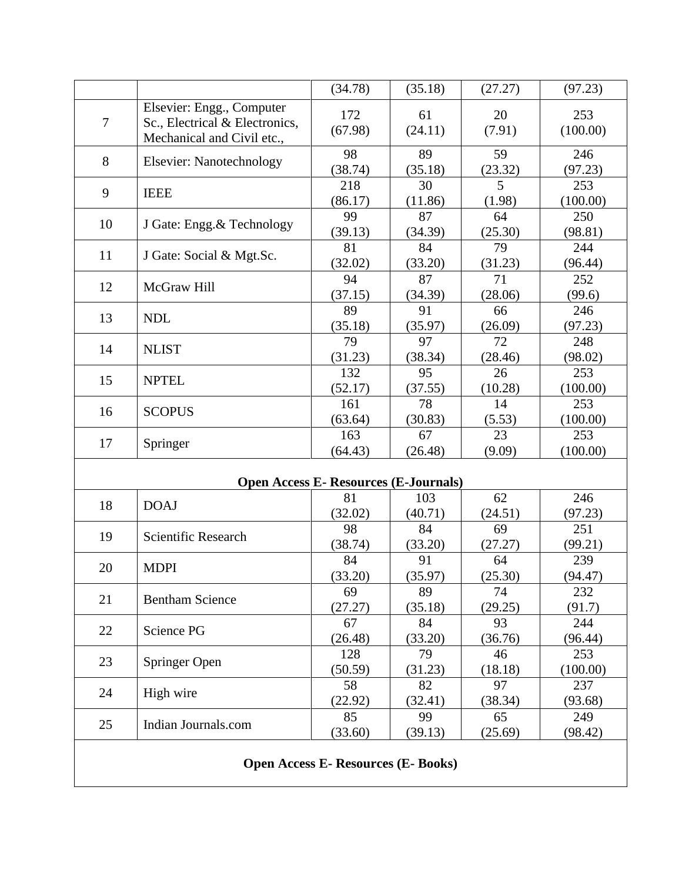|                                            |                                                                                           | (34.78)                                      | (35.18)        | (27.27)       | (97.23)         |  |
|--------------------------------------------|-------------------------------------------------------------------------------------------|----------------------------------------------|----------------|---------------|-----------------|--|
| $\tau$                                     | Elsevier: Engg., Computer<br>Sc., Electrical & Electronics,<br>Mechanical and Civil etc., | 172<br>(67.98)                               | 61<br>(24.11)  | 20<br>(7.91)  | 253<br>(100.00) |  |
| 8                                          | <b>Elsevier:</b> Nanotechnology                                                           | 98<br>(38.74)                                | 89<br>(35.18)  | 59<br>(23.32) | 246<br>(97.23)  |  |
| 9                                          | <b>IEEE</b>                                                                               | 218<br>(86.17)                               | 30<br>(11.86)  | 5<br>(1.98)   | 253<br>(100.00) |  |
| 10                                         | J Gate: Engg. & Technology                                                                | 99<br>(39.13)                                | 87<br>(34.39)  | 64<br>(25.30) | 250<br>(98.81)  |  |
| 11                                         | J Gate: Social & Mgt.Sc.                                                                  | 81<br>(32.02)                                | 84<br>(33.20)  | 79<br>(31.23) | 244<br>(96.44)  |  |
| 12                                         | McGraw Hill                                                                               | 94<br>(37.15)                                | 87<br>(34.39)  | 71<br>(28.06) | 252<br>(99.6)   |  |
| 13                                         | <b>NDL</b>                                                                                | 89<br>(35.18)                                | 91<br>(35.97)  | 66<br>(26.09) | 246<br>(97.23)  |  |
| 14                                         | <b>NLIST</b>                                                                              | 79<br>(31.23)                                | 97<br>(38.34)  | 72<br>(28.46) | 248<br>(98.02)  |  |
| 15                                         | <b>NPTEL</b>                                                                              | 132<br>(52.17)                               | 95<br>(37.55)  | 26<br>(10.28) | 253<br>(100.00) |  |
| 16                                         | <b>SCOPUS</b>                                                                             | 161<br>(63.64)                               | 78<br>(30.83)  | 14<br>(5.53)  | 253<br>(100.00) |  |
| 17                                         | Springer                                                                                  | 163<br>(64.43)                               | 67<br>(26.48)  | 23<br>(9.09)  | 253<br>(100.00) |  |
|                                            |                                                                                           | <b>Open Access E- Resources (E-Journals)</b> |                |               |                 |  |
| 18                                         | <b>DOAJ</b>                                                                               | 81<br>(32.02)                                | 103<br>(40.71) | 62<br>(24.51) | 246<br>(97.23)  |  |
| 19                                         | <b>Scientific Research</b>                                                                | 98<br>(38.74)                                | 84<br>(33.20)  | 69<br>(27.27) | 251<br>(99.21)  |  |
| 20                                         | <b>MDPI</b>                                                                               | 84<br>(33.20)                                | 91<br>(35.97)  | 64<br>(25.30) | 239<br>(94.47)  |  |
| 21                                         | <b>Bentham Science</b>                                                                    | 69<br>(27.27)                                | 89<br>(35.18)  | 74<br>(29.25) | 232<br>(91.7)   |  |
| 22                                         | Science PG                                                                                | 67<br>(26.48)                                | 84<br>(33.20)  | 93<br>(36.76) | 244<br>(96.44)  |  |
| 23                                         | Springer Open                                                                             | 128<br>(50.59)                               | 79<br>(31.23)  | 46<br>(18.18) | 253<br>(100.00) |  |
| 24                                         | High wire                                                                                 | 58<br>(22.92)                                | 82<br>(32.41)  | 97<br>(38.34) | 237<br>(93.68)  |  |
| 25                                         | Indian Journals.com                                                                       | 85<br>(33.60)                                | 99<br>(39.13)  | 65<br>(25.69) | 249<br>(98.42)  |  |
| <b>Open Access E- Resources (E- Books)</b> |                                                                                           |                                              |                |               |                 |  |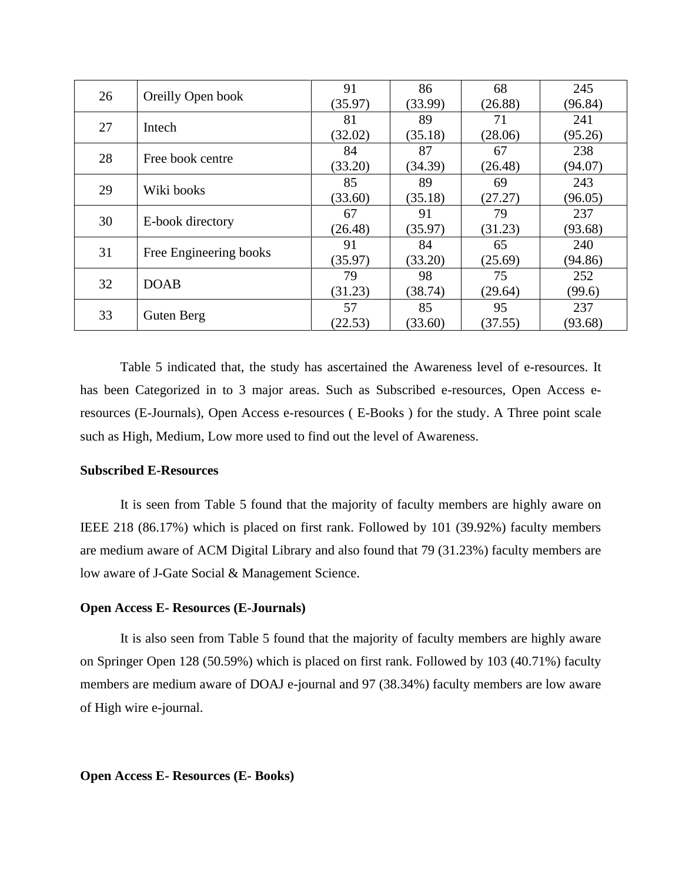| 26 | Oreilly Open book      | 91      | 86      | 68      | 245     |
|----|------------------------|---------|---------|---------|---------|
|    |                        | (35.97) | (33.99) | (26.88) | (96.84) |
| 27 | Intech                 | 81      | 89      | 71      | 241     |
|    |                        | (32.02) | (35.18) | (28.06) | (95.26) |
| 28 |                        | 84      | 87      | 67      | 238     |
|    | Free book centre       | (33.20) | (34.39) | (26.48) | (94.07) |
|    | Wiki books             | 85      | 89      | 69      | 243     |
| 29 |                        | (33.60) | (35.18) | (27.27) | (96.05) |
|    | E-book directory       | 67      | 91      | 79      | 237     |
| 30 |                        | (26.48) | (35.97) | (31.23) | (93.68) |
| 31 | Free Engineering books | 91      | 84      | 65      | 240     |
|    |                        | (35.97) | (33.20) | (25.69) | (94.86) |
| 32 | <b>DOAB</b>            | 79      | 98      | 75      | 252     |
|    |                        | (31.23) | (38.74) | (29.64) | (99.6)  |
| 33 |                        | 57      | 85      | 95      | 237     |
|    | Guten Berg             | (22.53) | (33.60) | (37.55) | (93.68) |

Table 5 indicated that, the study has ascertained the Awareness level of e-resources. It has been Categorized in to 3 major areas. Such as Subscribed e-resources, Open Access eresources (E-Journals), Open Access e-resources ( E-Books ) for the study. A Three point scale such as High, Medium, Low more used to find out the level of Awareness.

#### **Subscribed E-Resources**

It is seen from Table 5 found that the majority of faculty members are highly aware on IEEE 218 (86.17%) which is placed on first rank. Followed by 101 (39.92%) faculty members are medium aware of ACM Digital Library and also found that 79 (31.23%) faculty members are low aware of J-Gate Social & Management Science.

#### **Open Access E- Resources (E-Journals)**

It is also seen from Table 5 found that the majority of faculty members are highly aware on Springer Open 128 (50.59%) which is placed on first rank. Followed by 103 (40.71%) faculty members are medium aware of DOAJ e-journal and 97 (38.34%) faculty members are low aware of High wire e-journal.

#### **Open Access E- Resources (E- Books)**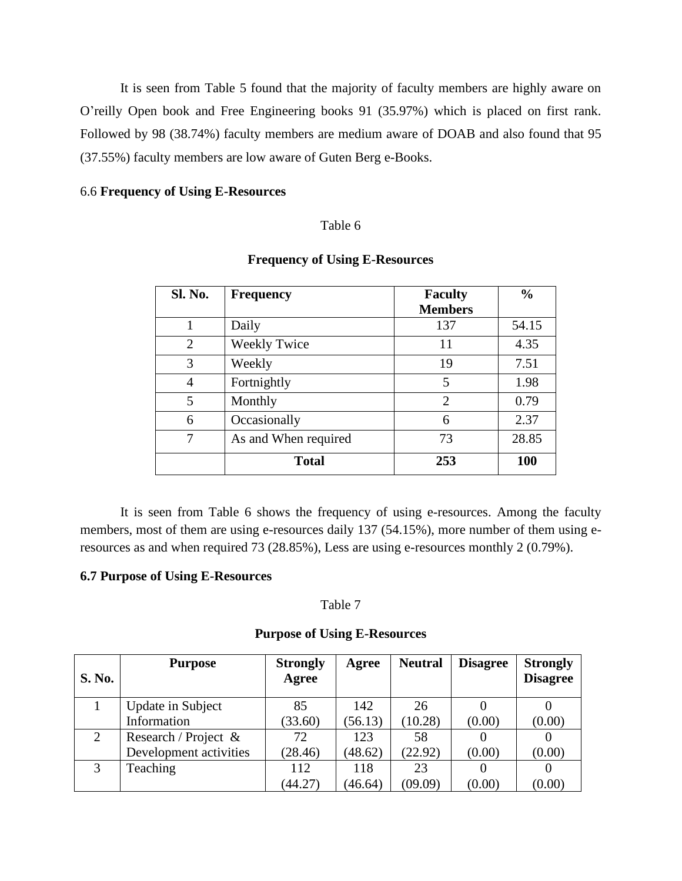It is seen from Table 5 found that the majority of faculty members are highly aware on O'reilly Open book and Free Engineering books 91 (35.97%) which is placed on first rank. Followed by 98 (38.74%) faculty members are medium aware of DOAB and also found that 95 (37.55%) faculty members are low aware of Guten Berg e-Books.

#### 6.6 **Frequency of Using E-Resources**

#### Table 6

| <b>Sl. No.</b> | <b>Frequency</b>     | <b>Faculty</b> | $\frac{0}{0}$ |
|----------------|----------------------|----------------|---------------|
|                |                      | <b>Members</b> |               |
| 1              | Daily                | 137            | 54.15         |
| $\overline{2}$ | <b>Weekly Twice</b>  | 11             | 4.35          |
| 3              | Weekly               | 19             | 7.51          |
| $\overline{4}$ | Fortnightly          | 5              | 1.98          |
| 5              | Monthly              | $\overline{2}$ | 0.79          |
| 6              | Occasionally         | 6              | 2.37          |
| 7              | As and When required | 73             | 28.85         |
|                | <b>Total</b>         | 253            | <b>100</b>    |

### **Frequency of Using E-Resources**

It is seen from Table 6 shows the frequency of using e-resources. Among the faculty members, most of them are using e-resources daily 137 (54.15%), more number of them using eresources as and when required 73 (28.85%), Less are using e-resources monthly 2 (0.79%).

#### **6.7 Purpose of Using E-Resources**

#### Table 7

#### **Purpose of Using E-Resources**

| S. No. | <b>Purpose</b>         | <b>Strongly</b><br>Agree | Agree   | <b>Neutral</b> | <b>Disagree</b> | <b>Strongly</b><br><b>Disagree</b> |
|--------|------------------------|--------------------------|---------|----------------|-----------------|------------------------------------|
|        | Update in Subject      | 85                       | 142     | 26             |                 |                                    |
|        | Information            | (33.60)                  | (56.13) | (10.28)        | (0.00)          | (0.00)                             |
| 2      | Research / Project &   | 72                       | 123     | 58             |                 |                                    |
|        | Development activities | (28.46)                  | (48.62) | (22.92)        | (0.00)          | (0.00)                             |
| 3      | Teaching               | 112                      | 118     | 23             |                 |                                    |
|        |                        | (44.27)                  | (46.64) | (09.09)        | (0.00)          | (0.00)                             |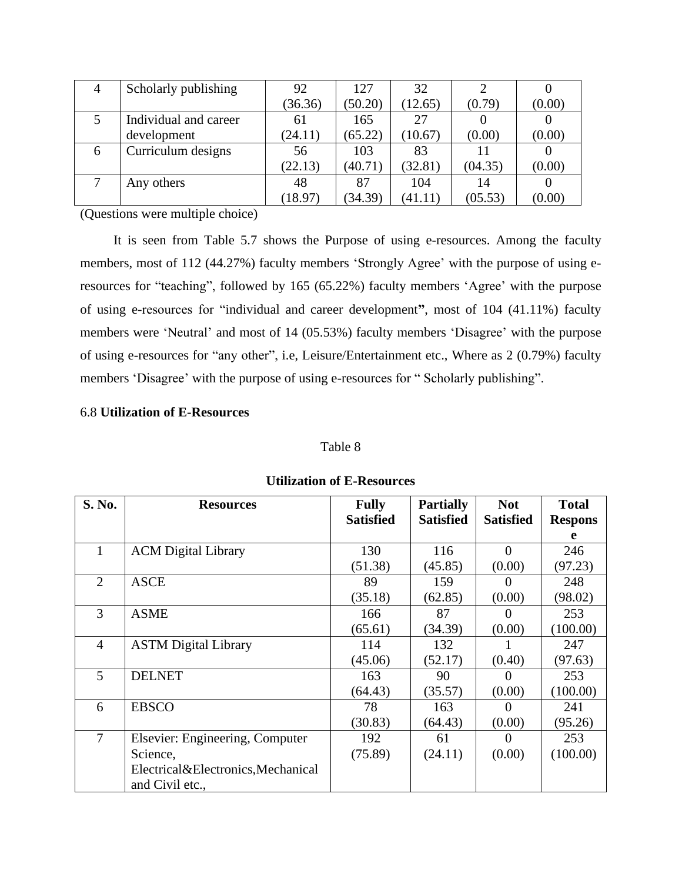| 4 | Scholarly publishing  | 92      | 127     | 32      |         |        |
|---|-----------------------|---------|---------|---------|---------|--------|
|   |                       | (36.36) | (50.20) | (12.65) | (0.79)  | (0.00) |
|   | Individual and career | 61      | 165     | 27      |         |        |
|   | development           | (24.11) | (65.22) | (10.67) | (0.00)  | (0.00) |
| 6 | Curriculum designs    | 56      | 103     | 83      | 11      |        |
|   |                       | (22.13) | (40.71) | (32.81) | (04.35) | (0.00) |
|   | Any others            | 48      | 87      | 104     | 14      |        |
|   |                       | (18.97) | (34.39) | (41.11) | (05.53) | (0.00) |

(Questions were multiple choice)

 It is seen from Table 5.7 shows the Purpose of using e-resources. Among the faculty members, most of 112 (44.27%) faculty members 'Strongly Agree' with the purpose of using eresources for "teaching", followed by 165 (65.22%) faculty members 'Agree' with the purpose of using e-resources for "individual and career development**"**, most of 104 (41.11%) faculty members were 'Neutral' and most of 14 (05.53%) faculty members 'Disagree' with the purpose of using e-resources for "any other", i.e, Leisure/Entertainment etc., Where as 2 (0.79%) faculty members 'Disagree' with the purpose of using e-resources for " Scholarly publishing".

#### 6.8 **Utilization of E-Resources**

#### Table 8

| S. No.         | <b>Resources</b>                   | <b>Fully</b>     | <b>Partially</b> | <b>Not</b>       | <b>Total</b>   |
|----------------|------------------------------------|------------------|------------------|------------------|----------------|
|                |                                    | <b>Satisfied</b> | <b>Satisfied</b> | <b>Satisfied</b> | <b>Respons</b> |
|                |                                    |                  |                  |                  | e              |
| 1              | <b>ACM</b> Digital Library         | 130              | 116              | $\Omega$         | 246            |
|                |                                    | (51.38)          | (45.85)          | (0.00)           | (97.23)        |
| $\overline{2}$ | <b>ASCE</b>                        | 89               | 159              |                  | 248            |
|                |                                    | (35.18)          | (62.85)          | (0.00)           | (98.02)        |
| 3              | <b>ASME</b>                        | 166              | 87               | $\left( \right)$ | 253            |
|                |                                    | (65.61)          | (34.39)          | (0.00)           | (100.00)       |
| $\overline{4}$ | <b>ASTM</b> Digital Library        | 114              | 132              |                  | 247            |
|                |                                    | (45.06)          | (52.17)          | (0.40)           | (97.63)        |
| 5              | <b>DELNET</b>                      | 163              | 90               |                  | 253            |
|                |                                    | (64.43)          | (35.57)          | (0.00)           | (100.00)       |
| 6              | <b>EBSCO</b>                       | 78               | 163              |                  | 241            |
|                |                                    | (30.83)          | (64.43)          | (0.00)           | (95.26)        |
| 7              | Elsevier: Engineering, Computer    | 192              | 61               | $\theta$         | 253            |
|                | Science,                           | (75.89)          | (24.11)          | (0.00)           | (100.00)       |
|                | Electrical&Electronics, Mechanical |                  |                  |                  |                |
|                | and Civil etc.,                    |                  |                  |                  |                |

#### **Utilization of E-Resources**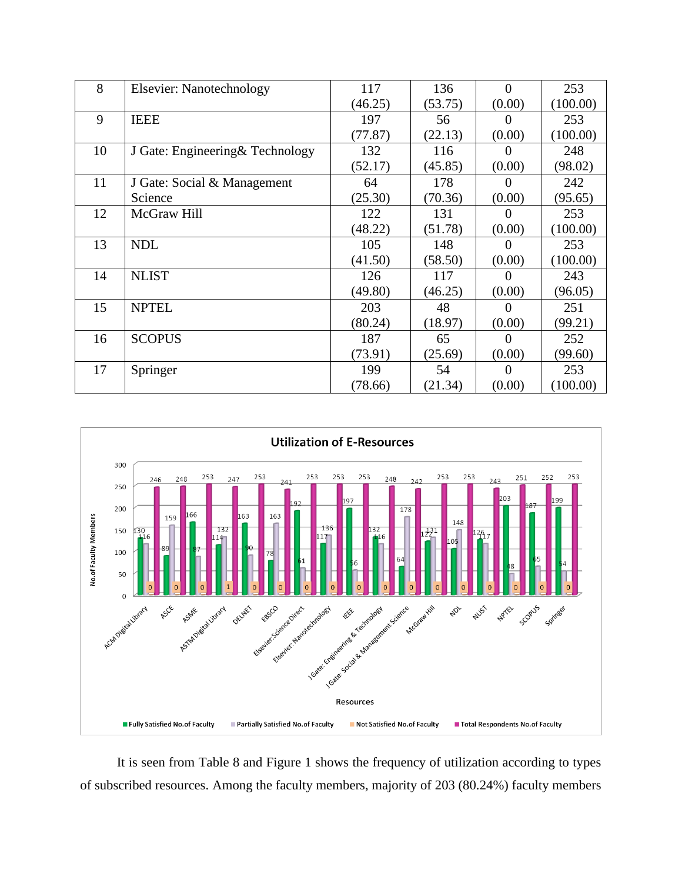| 8  | <b>Elsevier: Nanotechnology</b>  | 117     | 136     | $\Omega$ | 253      |
|----|----------------------------------|---------|---------|----------|----------|
|    |                                  | (46.25) | (53.75) | (0.00)   | (100.00) |
| 9  | <b>IEEE</b>                      | 197     | 56      |          | 253      |
|    |                                  | (77.87) | (22.13) | (0.00)   | (100.00) |
| 10 | J Gate: Engineering & Technology | 132     | 116     |          | 248      |
|    |                                  | (52.17) | (45.85) | (0.00)   | (98.02)  |
| 11 | J Gate: Social & Management      | 64      | 178     |          | 242      |
|    | Science                          | (25.30) | (70.36) | (0.00)   | (95.65)  |
| 12 | McGraw Hill                      | 122     | 131     | $\theta$ | 253      |
|    |                                  | (48.22) | (51.78) | (0.00)   | (100.00) |
| 13 | <b>NDL</b>                       | 105     | 148     |          | 253      |
|    |                                  | (41.50) | (58.50) | (0.00)   | (100.00) |
| 14 | <b>NLIST</b>                     | 126     | 117     |          | 243      |
|    |                                  | (49.80) | (46.25) | (0.00)   | (96.05)  |
| 15 | <b>NPTEL</b>                     | 203     | 48      | $\theta$ | 251      |
|    |                                  | (80.24) | (18.97) | (0.00)   | (99.21)  |
| 16 | <b>SCOPUS</b>                    | 187     | 65      | $\theta$ | 252      |
|    |                                  | (73.91) | (25.69) | (0.00)   | (99.60)  |
| 17 | Springer                         | 199     | 54      | $\theta$ | 253      |
|    |                                  | (78.66) | (21.34) | (0.00)   | (100.00) |



 It is seen from Table 8 and Figure 1 shows the frequency of utilization according to types of subscribed resources. Among the faculty members, majority of 203 (80.24%) faculty members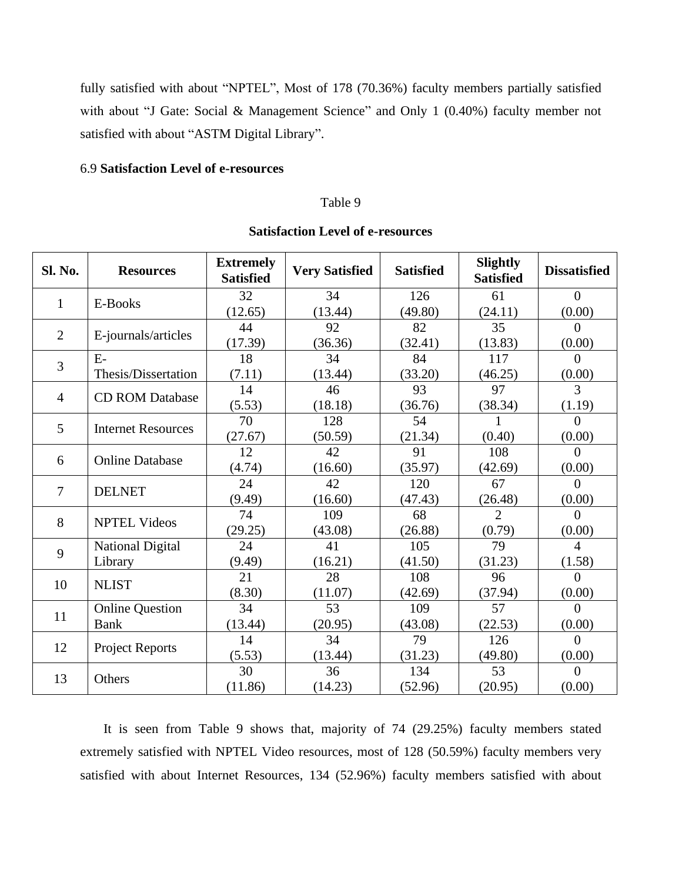fully satisfied with about "NPTEL", Most of 178 (70.36%) faculty members partially satisfied with about "J Gate: Social & Management Science" and Only 1 (0.40%) faculty member not satisfied with about "ASTM Digital Library".

#### 6.9 **Satisfaction Level of e-resources**

 $13$  Others  $30$ 

(11.86)

#### Table 9

#### **Sl. No. Resources Extremely Very Satisfied Satisfied Slightly Satisfied Satisfied Dissatisfied** 1  $\left| \right|$  E-Books 32  $(12.65)$ 34 (13.44) 126 (49.80) 61 (24.11)  $\Omega$  $(0.00)$ 2 | E-journals/articles |  $\frac{44}{173}$ (17.39) 92 (36.36) 82 (32.41) 35 (13.83) 0  $(0.00)$ 3 E-Thesis/Dissertation 18 (7.11) 34 (13.44) 84 (33.20) 117 (46.25)  $\Omega$ (0.00) 4 CD ROM Database  $\begin{array}{c|c} 14 \end{array}$  $(5.53)$ 46 (18.18) 93 (36.76) 97 (38.34) 3  $(1.19)$  $\frac{5}{20}$  Internet Resources  $\frac{70}{255}$ (27.67) 128 (50.59) 54 (21.34) 1 (0.40)  $\Omega$  $(0.00)$ 6 Online Database  $\begin{bmatrix} 12 \\ 0.5 \end{bmatrix}$ (4.74) 42  $(16.60)$ 91 (35.97) 108 (42.69) 0 (0.00)  $7 \quad \text{DELNET} \quad 24$ (9.49) 42  $(16.60)$ 120 (47.43) 67 (26.48) 0 (0.00) 8 NPTEL Videos  $\begin{array}{c|c} \n74 \\
\hline\n222\n\end{array}$ (29.25) 109 (43.08) 68 (26.88) 2 (0.79) 0 (0.00) 9 National Digital Library 24 (9.49) 41 (16.21) 105 (41.50) 79 (31.23) 4 (1.58) 10 NLIST  $\begin{array}{|c|c|c|c|c|}\n\hline\n & 21 & 21 \\
\hline\n & 22 & 21\n\end{array}$ (8.30) 28 (11.07) 108 (42.69) 96 (37.94)  $\theta$  $(0.00)$ 11 Online Question Bank 34 (13.44) 53 (20.95) 109 (43.08) 57 (22.53)  $\Omega$  $(0.00)$ 12 Project Reports  $\begin{array}{|c|c|c|}\n\hline\n&14 & 14\n\end{array}$  $(5.53)$ 34 (13.44) 79 (31.23) 126 (49.80) 0  $(0.00)$

#### **Satisfaction Level of e-resources**

 It is seen from Table 9 shows that, majority of 74 (29.25%) faculty members stated extremely satisfied with NPTEL Video resources, most of 128 (50.59%) faculty members very satisfied with about Internet Resources, 134 (52.96%) faculty members satisfied with about

36 (14.23)

134 (52.96)

53 (20.95)

0  $(0.00)$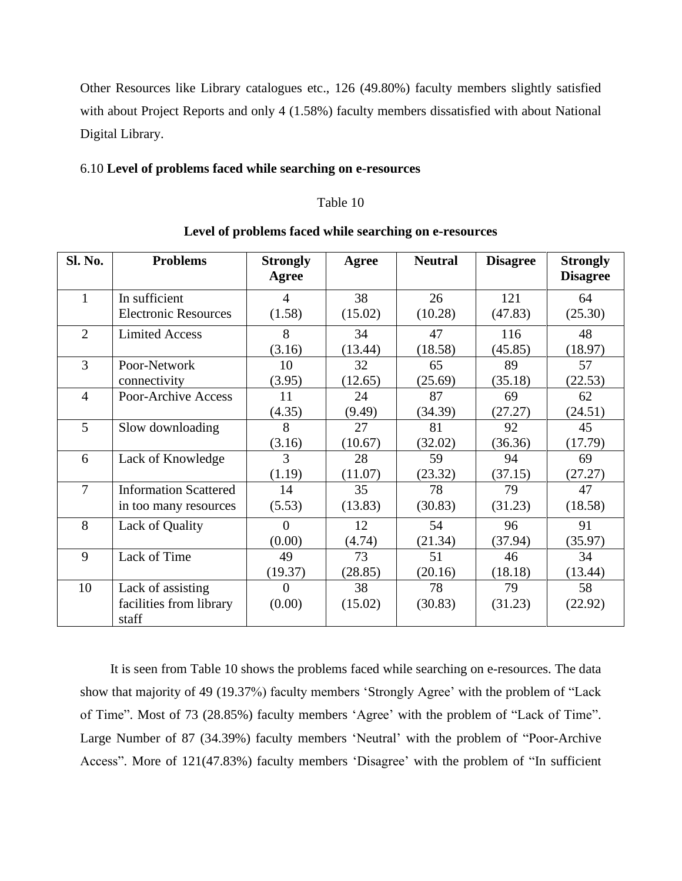Other Resources like Library catalogues etc., 126 (49.80%) faculty members slightly satisfied with about Project Reports and only 4 (1.58%) faculty members dissatisfied with about National Digital Library.

#### 6.10 **Level of problems faced while searching on e-resources**

#### Table 10

| <b>Sl. No.</b> | <b>Problems</b>                                       | <b>Strongly</b><br>Agree | Agree         | <b>Neutral</b> | <b>Disagree</b> | <b>Strongly</b><br><b>Disagree</b> |
|----------------|-------------------------------------------------------|--------------------------|---------------|----------------|-----------------|------------------------------------|
| 1              | In sufficient<br><b>Electronic Resources</b>          | $\overline{4}$<br>(1.58) | 38<br>(15.02) | 26<br>(10.28)  | 121<br>(47.83)  | 64<br>(25.30)                      |
| $\overline{2}$ | <b>Limited Access</b>                                 | 8<br>(3.16)              | 34<br>(13.44) | 47<br>(18.58)  | 116<br>(45.85)  | 48<br>(18.97)                      |
| 3              | Poor-Network<br>connectivity                          | 10<br>(3.95)             | 32<br>(12.65) | 65<br>(25.69)  | 89<br>(35.18)   | 57<br>(22.53)                      |
| $\overline{4}$ | Poor-Archive Access                                   | 11<br>(4.35)             | 24<br>(9.49)  | 87<br>(34.39)  | 69<br>(27.27)   | 62<br>(24.51)                      |
| 5              | Slow downloading                                      | 8<br>(3.16)              | 27<br>(10.67) | 81<br>(32.02)  | 92<br>(36.36)   | 45<br>(17.79)                      |
| 6              | Lack of Knowledge                                     | 3<br>(1.19)              | 28<br>(11.07) | 59<br>(23.32)  | 94<br>(37.15)   | 69<br>(27.27)                      |
| $\overline{7}$ | <b>Information Scattered</b><br>in too many resources | 14<br>(5.53)             | 35<br>(13.83) | 78<br>(30.83)  | 79<br>(31.23)   | 47<br>(18.58)                      |
| 8              | Lack of Quality                                       | $\Omega$<br>(0.00)       | 12<br>(4.74)  | 54<br>(21.34)  | 96<br>(37.94)   | 91<br>(35.97)                      |
| 9              | Lack of Time                                          | 49<br>(19.37)            | 73<br>(28.85) | 51<br>(20.16)  | 46<br>(18.18)   | 34<br>(13.44)                      |
| 10             | Lack of assisting<br>facilities from library<br>staff | $\Omega$<br>(0.00)       | 38<br>(15.02) | 78<br>(30.83)  | 79<br>(31.23)   | 58<br>(22.92)                      |

#### **Level of problems faced while searching on e-resources**

 It is seen from Table 10 shows the problems faced while searching on e-resources. The data show that majority of 49 (19.37%) faculty members 'Strongly Agree' with the problem of "Lack of Time". Most of 73 (28.85%) faculty members 'Agree' with the problem of "Lack of Time". Large Number of 87 (34.39%) faculty members 'Neutral' with the problem of "Poor-Archive Access". More of 121(47.83%) faculty members 'Disagree' with the problem of "In sufficient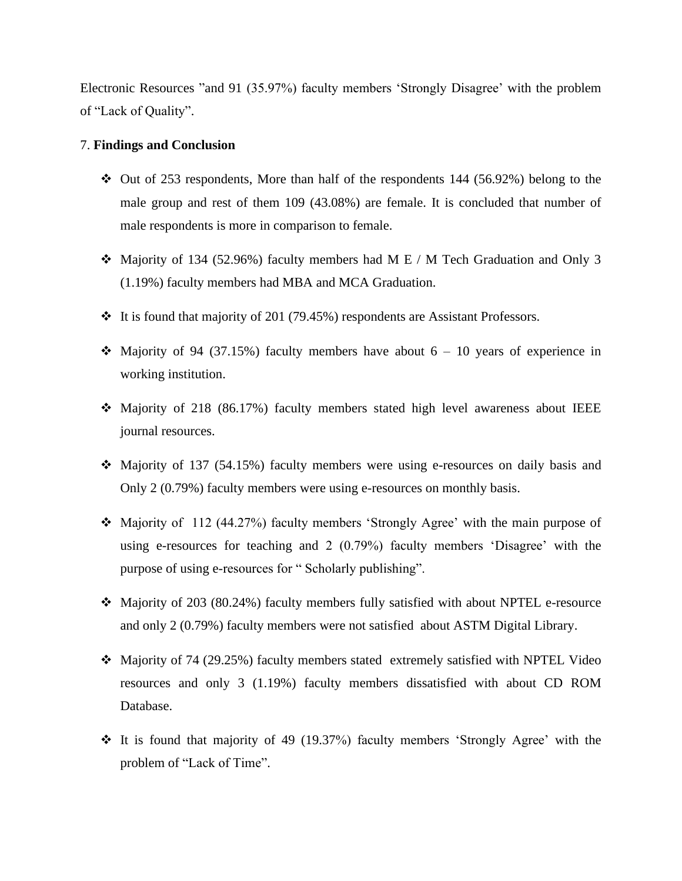Electronic Resources "and 91 (35.97%) faculty members 'Strongly Disagree' with the problem of "Lack of Quality".

#### 7. **Findings and Conclusion**

- $\div$  Out of 253 respondents, More than half of the respondents 144 (56.92%) belong to the male group and rest of them 109 (43.08%) are female. It is concluded that number of male respondents is more in comparison to female.
- ❖ Majority of 134 (52.96%) faculty members had M E / M Tech Graduation and Only 3 (1.19%) faculty members had MBA and MCA Graduation.
- ❖ It is found that majority of 201 (79.45%) respondents are Assistant Professors.
- $\div$  Majority of 94 (37.15%) faculty members have about 6 10 years of experience in working institution.
- ❖ Majority of 218 (86.17%) faculty members stated high level awareness about IEEE journal resources.
- ❖ Majority of 137 (54.15%) faculty members were using e-resources on daily basis and Only 2 (0.79%) faculty members were using e-resources on monthly basis.
- ❖ Majority of 112 (44.27%) faculty members 'Strongly Agree' with the main purpose of using e-resources for teaching and 2 (0.79%) faculty members 'Disagree' with the purpose of using e-resources for " Scholarly publishing".
- ❖ Majority of 203 (80.24%) faculty members fully satisfied with about NPTEL e-resource and only 2 (0.79%) faculty members were not satisfied about ASTM Digital Library.
- ❖ Majority of 74 (29.25%) faculty members stated extremely satisfied with NPTEL Video resources and only 3 (1.19%) faculty members dissatisfied with about CD ROM Database.
- ❖ It is found that majority of 49 (19.37%) faculty members 'Strongly Agree' with the problem of "Lack of Time".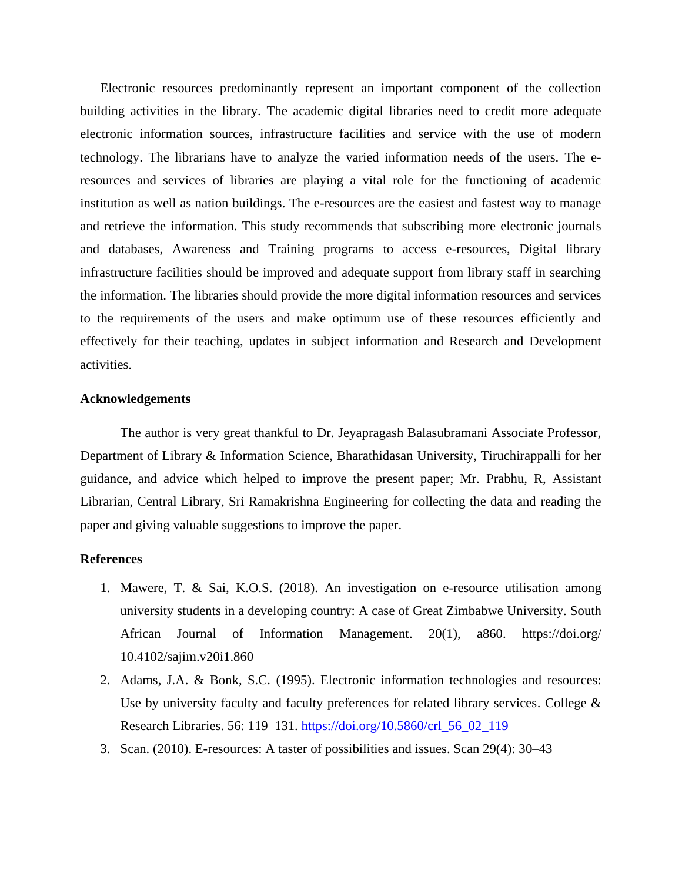Electronic resources predominantly represent an important component of the collection building activities in the library. The academic digital libraries need to credit more adequate electronic information sources, infrastructure facilities and service with the use of modern technology. The librarians have to analyze the varied information needs of the users. The eresources and services of libraries are playing a vital role for the functioning of academic institution as well as nation buildings. The e-resources are the easiest and fastest way to manage and retrieve the information. This study recommends that subscribing more electronic journals and databases, Awareness and Training programs to access e-resources, Digital library infrastructure facilities should be improved and adequate support from library staff in searching the information. The libraries should provide the more digital information resources and services to the requirements of the users and make optimum use of these resources efficiently and effectively for their teaching, updates in subject information and Research and Development activities.

#### **Acknowledgements**

The author is very great thankful to Dr. Jeyapragash Balasubramani Associate Professor, Department of Library & Information Science, Bharathidasan University, Tiruchirappalli for her guidance, and advice which helped to improve the present paper; Mr. Prabhu, R, Assistant Librarian, Central Library, Sri Ramakrishna Engineering for collecting the data and reading the paper and giving valuable suggestions to improve the paper.

#### **References**

- 1. Mawere, T. & Sai, K.O.S. (2018). An investigation on e-resource utilisation among university students in a developing country: A case of Great Zimbabwe University. South African Journal of Information Management. 20(1), a860. https://doi.org/ 10.4102/sajim.v20i1.860
- 2. Adams, J.A. & Bonk, S.C. (1995). Electronic information technologies and resources: Use by university faculty and faculty preferences for related library services. College  $\&$ Research Libraries. 56: 119–131. [https://doi.org/10.5860/crl\\_56\\_02\\_119](https://doi.org/10.5860/crl_56_02_119)
- 3. Scan. (2010). E-resources: A taster of possibilities and issues. Scan 29(4): 30–43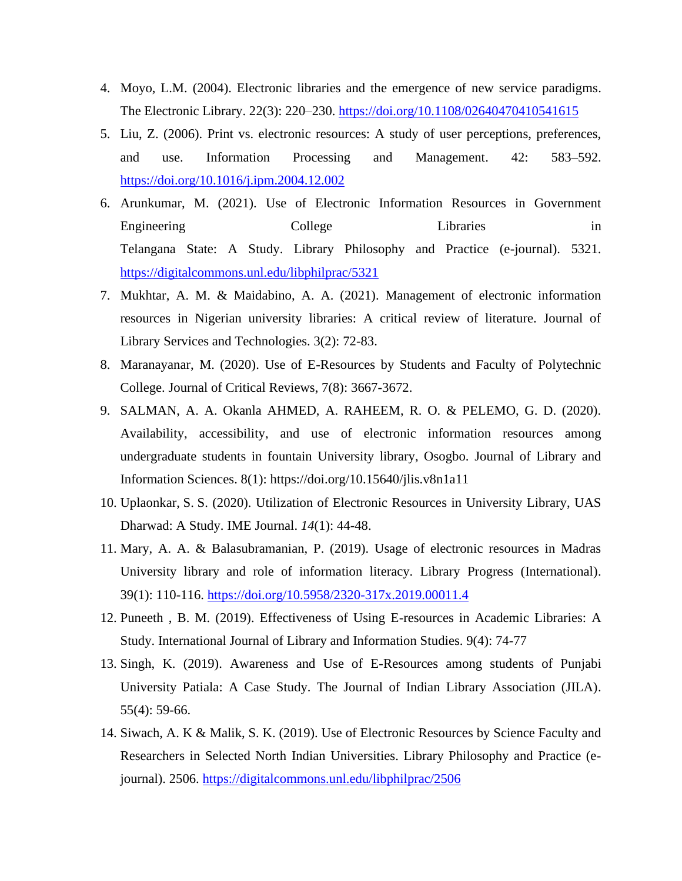- 4. Moyo, L.M. (2004). Electronic libraries and the emergence of new service paradigms. The Electronic Library. 22(3): 220–230.<https://doi.org/10.1108/02640470410541615>
- 5. Liu, Z. (2006). Print vs. electronic resources: A study of user perceptions, preferences, and use. Information Processing and Management. 42: 583–592. <https://doi.org/10.1016/j.ipm.2004.12.002>
- 6. Arunkumar, M. (2021). Use of Electronic Information Resources in Government Engineering College Libraries in Telangana State: A Study. Library Philosophy and Practice (e-journal). 5321. <https://digitalcommons.unl.edu/libphilprac/5321>
- 7. Mukhtar, A. M. & Maidabino, A. A. (2021). Management of electronic information resources in Nigerian university libraries: A critical review of literature. Journal of Library Services and Technologies. 3(2): 72-83.
- 8. Maranayanar, M. (2020). Use of E-Resources by Students and Faculty of Polytechnic College. Journal of Critical Reviews, 7(8): 3667-3672.
- 9. SALMAN, A. A. Okanla AHMED, A. RAHEEM, R. O. & PELEMO, G. D. (2020). Availability, accessibility, and use of electronic information resources among undergraduate students in fountain University library, Osogbo. Journal of Library and Information Sciences. 8(1): https://doi.org/10.15640/jlis.v8n1a11
- 10. Uplaonkar, S. S. (2020). Utilization of Electronic Resources in University Library, UAS Dharwad: A Study. IME Journal. *14*(1): 44-48.
- 11. Mary, A. A. & Balasubramanian, P. (2019). Usage of electronic resources in Madras University library and role of information literacy. Library Progress (International). 39(1): 110-116.<https://doi.org/10.5958/2320-317x.2019.00011.4>
- 12. Puneeth , B. M. (2019). Effectiveness of Using E-resources in Academic Libraries: A Study. International Journal of Library and Information Studies. 9(4): 74-77
- 13. Singh, K. (2019). Awareness and Use of E-Resources among students of Punjabi University Patiala: A Case Study. The Journal of Indian Library Association (JILA). 55(4): 59-66.
- 14. Siwach, A. K & Malik, S. K. (2019). Use of Electronic Resources by Science Faculty and Researchers in Selected North Indian Universities. Library Philosophy and Practice (ejournal). 2506.<https://digitalcommons.unl.edu/libphilprac/2506>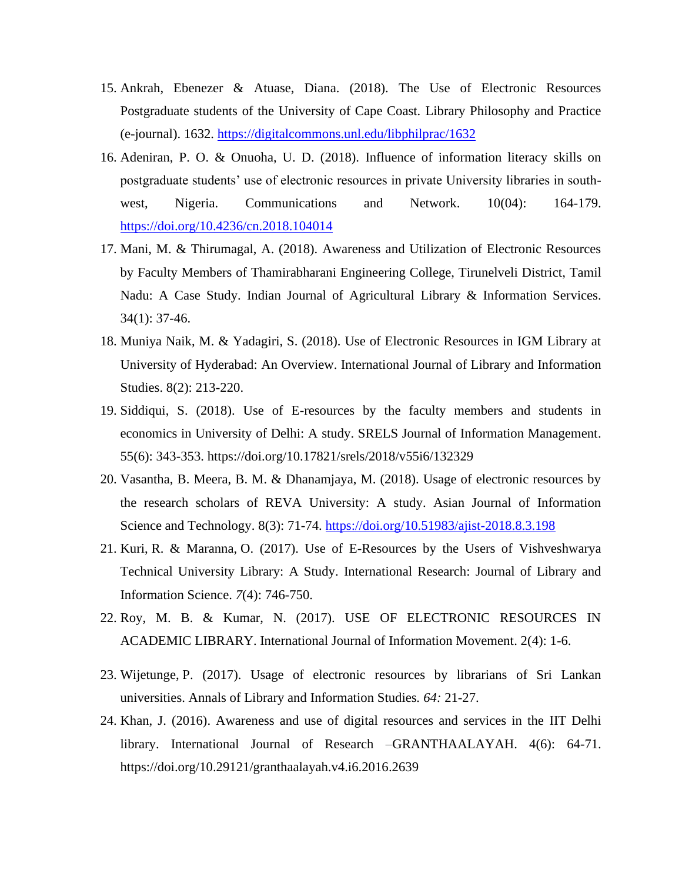- 15. Ankrah, Ebenezer & Atuase, Diana. (2018). The Use of Electronic Resources Postgraduate students of the University of Cape Coast. Library Philosophy and Practice (e-journal). 1632.<https://digitalcommons.unl.edu/libphilprac/1632>
- 16. Adeniran, P. O. & Onuoha, U. D. (2018). Influence of information literacy skills on postgraduate students' use of electronic resources in private University libraries in southwest, Nigeria. Communications and Network. 10(04): 164-179. <https://doi.org/10.4236/cn.2018.104014>
- 17. Mani, M. & Thirumagal, A. (2018). Awareness and Utilization of Electronic Resources by Faculty Members of Thamirabharani Engineering College, Tirunelveli District, Tamil Nadu: A Case Study. Indian Journal of Agricultural Library & Information Services. 34(1): 37-46.
- 18. Muniya Naik, M. & Yadagiri, S. (2018). Use of Electronic Resources in IGM Library at University of Hyderabad: An Overview. International Journal of Library and Information Studies. 8(2): 213-220.
- 19. Siddiqui, S. (2018). Use of E-resources by the faculty members and students in economics in University of Delhi: A study. SRELS Journal of Information Management. 55(6): 343-353. https://doi.org/10.17821/srels/2018/v55i6/132329
- 20. Vasantha, B. Meera, B. M. & Dhanamjaya, M. (2018). Usage of electronic resources by the research scholars of REVA University: A study. Asian Journal of Information Science and Technology. 8(3): 71-74.<https://doi.org/10.51983/ajist-2018.8.3.198>
- 21. Kuri, R. & Maranna, O. (2017). Use of E-Resources by the Users of Vishveshwarya Technical University Library: A Study. International Research: Journal of Library and Information Science. *7*(4): 746-750.
- 22. Roy, M. B. & Kumar, N. (2017). USE OF ELECTRONIC RESOURCES IN ACADEMIC LIBRARY. International Journal of Information Movement. 2(4): 1-6.
- 23. Wijetunge, P. (2017). Usage of electronic resources by librarians of Sri Lankan universities. Annals of Library and Information Studies*. 64:* 21-27.
- 24. Khan, J. (2016). Awareness and use of digital resources and services in the IIT Delhi library. International Journal of Research –GRANTHAALAYAH. 4(6): 64-71. https://doi.org/10.29121/granthaalayah.v4.i6.2016.2639